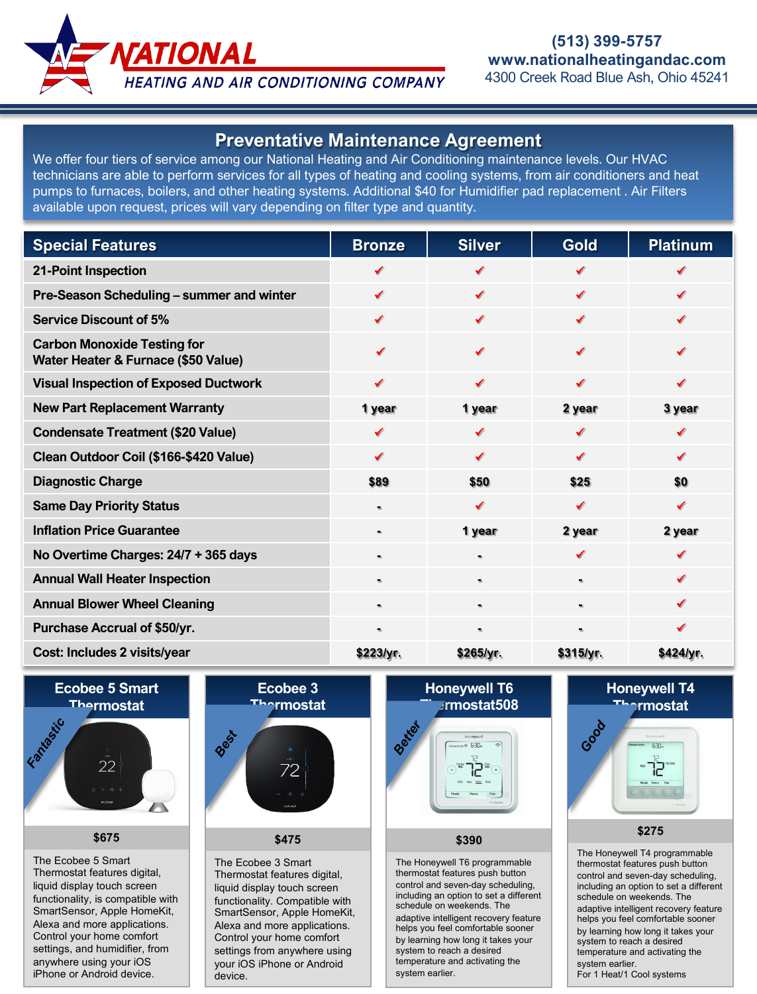

## **Preventative Maintenance Agreement**

We offer four tiers of service among our National Heating and Air Conditioning maintenance levels. Our HVAC technicians are able to perform services for all types of heating and cooling systems, from air conditioners and heat pumps to furnaces, boilers, and other heating systems. Additional \$40 for Humidifier pad replacement . Air Filters available upon request, prices will vary depending on filter type and quantity.

| <b>Special Features</b>                                                   | <b>Bronze</b>  | <b>Silver</b>  | <b>Gold</b>    | <b>Platinum</b> |
|---------------------------------------------------------------------------|----------------|----------------|----------------|-----------------|
| <b>21-Point Inspection</b>                                                |                |                |                |                 |
| Pre-Season Scheduling - summer and winter                                 |                | ✔              | ✔              |                 |
| <b>Service Discount of 5%</b>                                             | ✔              |                | √              |                 |
| <b>Carbon Monoxide Testing for</b><br>Water Heater & Furnace (\$50 Value) | ✔              |                | ✔              |                 |
| <b>Visual Inspection of Exposed Ductwork</b>                              | ✔              | ✔              | √              | ✔               |
| <b>New Part Replacement Warranty</b>                                      | 1 year         | 1 year         | 2 year         | 3 year          |
| <b>Condensate Treatment (\$20 Value)</b>                                  | ✔              | √              | √              | ✔               |
| Clean Outdoor Coil (\$166-\$420 Value)                                    | ✔              | ✔              | ✔              | ✔               |
| <b>Diagnostic Charge</b>                                                  | \$89           | \$50           | \$25           | \$0             |
| <b>Same Day Priority Status</b>                                           | ۰              | ✔              | ✔              | ✔               |
| <b>Inflation Price Guarantee</b>                                          | $\blacksquare$ | 1 year         | 2 year         | 2 year          |
| No Overtime Charges: 24/7 + 365 days                                      | $\blacksquare$ | $\blacksquare$ | √              | ✔               |
| <b>Annual Wall Heater Inspection</b>                                      | $\blacksquare$ | ٠              | $\blacksquare$ | ✔               |
| <b>Annual Blower Wheel Cleaning</b>                                       | $\blacksquare$ |                | ٠              |                 |
| <b>Purchase Accrual of \$50/yr.</b>                                       | $\blacksquare$ |                |                |                 |
| Cost: Includes 2 visits/year                                              | \$223/yr.      | \$265/yr.      | \$315/yr.      | \$424/yr.       |

**Ecobee 5 Smart Thermostat**



#### **\$675**

The Ecobee 5 Smart Thermostat features digital, liquid display touch screen functionality, is compatible with SmartSensor, Apple HomeKit, Alexa and more applications. Control your home comfort settings, and humidifier, from anywhere using your iOS iPhone or Android device.



## **\$475**

The Ecobee 3 Smart Thermostat features digital, liquid display touch screen functionality. Compatible with SmartSensor, Apple HomeKit, Alexa and more applications. Control your home comfort settings from anywhere using your iOS iPhone or Android device.

# **Honeywell T6 Thermostat508**



#### **\$390**

The Honeywell T6 programmable thermostat features push button control and seven-day scheduling, including an option to set a different schedule on weekends. The adaptive intelligent recovery feature helps you feel comfortable sooner by learning how long it takes your system to reach a desired temperature and activating the system earlier.

# **Honeywell T4 Prmostat** *Good*

#### **\$275**

The Honeywell T4 programmable thermostat features push button control and seven-day scheduling, including an option to set a different schedule on weekends. The adaptive intelligent recovery feature helps you feel comfortable sooner by learning how long it takes your system to reach a desired temperature and activating the system earlier. For 1 Heat/1 Cool systems